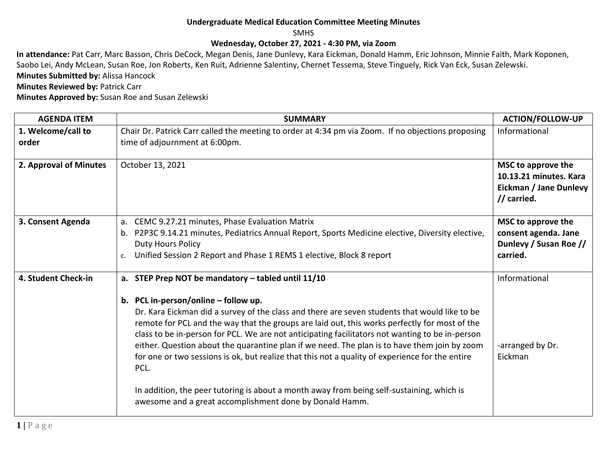## **Undergraduate Medical Education Committee Meeting Minutes**

SMHS

## **Wednesday, October 27, 2021 - 4:30 PM, via Zoom**

**In attendance:** Pat Carr, Marc Basson, Chris DeCock, Megan Denis, Jane Dunlevy, Kara Eickman, Donald Hamm, Eric Johnson, Minnie Faith, Mark Koponen, Saobo Lei, Andy McLean, Susan Roe, Jon Roberts, Ken Ruit, Adrienne Salentiny, Chernet Tessema, Steve Tinguely, Rick Van Eck, Susan Zelewski. **Minutes Submitted by:** Alissa Hancock

**Minutes Reviewed by: Patrick Carr** 

**Minutes Approved by:** Susan Roe and Susan Zelewski

| <b>AGENDA ITEM</b>          | <b>SUMMARY</b>                                                                                                                                                                                                                                                                                                                                                                                                                                                                                                                                                                                                                                                                                                                                                     | <b>ACTION/FOLLOW-UP</b>                                                                      |
|-----------------------------|--------------------------------------------------------------------------------------------------------------------------------------------------------------------------------------------------------------------------------------------------------------------------------------------------------------------------------------------------------------------------------------------------------------------------------------------------------------------------------------------------------------------------------------------------------------------------------------------------------------------------------------------------------------------------------------------------------------------------------------------------------------------|----------------------------------------------------------------------------------------------|
| 1. Welcome/call to<br>order | Chair Dr. Patrick Carr called the meeting to order at 4:34 pm via Zoom. If no objections proposing<br>time of adjournment at 6:00pm.                                                                                                                                                                                                                                                                                                                                                                                                                                                                                                                                                                                                                               | Informational                                                                                |
| 2. Approval of Minutes      | October 13, 2021                                                                                                                                                                                                                                                                                                                                                                                                                                                                                                                                                                                                                                                                                                                                                   | MSC to approve the<br>10.13.21 minutes. Kara<br><b>Eickman / Jane Dunlevy</b><br>// carried. |
| 3. Consent Agenda           | CEMC 9.27.21 minutes, Phase Evaluation Matrix<br>a.<br>P2P3C 9.14.21 minutes, Pediatrics Annual Report, Sports Medicine elective, Diversity elective,<br>b.<br><b>Duty Hours Policy</b><br>Unified Session 2 Report and Phase 1 REMS 1 elective, Block 8 report<br>c.                                                                                                                                                                                                                                                                                                                                                                                                                                                                                              | MSC to approve the<br>consent agenda. Jane<br>Dunlevy / Susan Roe //<br>carried.             |
| 4. Student Check-in         | a. STEP Prep NOT be mandatory - tabled until 11/10<br>b. PCL in-person/online - follow up.<br>Dr. Kara Eickman did a survey of the class and there are seven students that would like to be<br>remote for PCL and the way that the groups are laid out, this works perfectly for most of the<br>class to be in-person for PCL. We are not anticipating facilitators not wanting to be in-person<br>either. Question about the quarantine plan if we need. The plan is to have them join by zoom<br>for one or two sessions is ok, but realize that this not a quality of experience for the entire<br>PCL.<br>In addition, the peer tutoring is about a month away from being self-sustaining, which is<br>awesome and a great accomplishment done by Donald Hamm. | Informational<br>-arranged by Dr.<br>Eickman                                                 |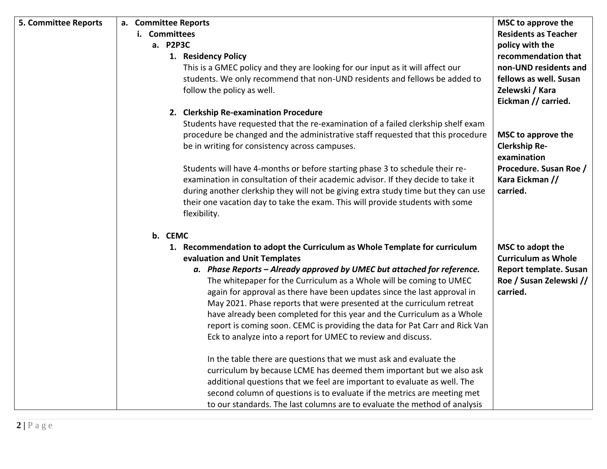| <b>5. Committee Reports</b> | a. Committee Reports<br>i. Committees<br>a. P2P3C<br>1. Residency Policy<br>This is a GMEC policy and they are looking for our input as it will affect our<br>students. We only recommend that non-UND residents and fellows be added to                                                                                                                                                                                                                                                                                                                                                                                                                | MSC to approve the<br><b>Residents as Teacher</b><br>policy with the<br>recommendation that<br>non-UND residents and<br>fellows as well. Susan |
|-----------------------------|---------------------------------------------------------------------------------------------------------------------------------------------------------------------------------------------------------------------------------------------------------------------------------------------------------------------------------------------------------------------------------------------------------------------------------------------------------------------------------------------------------------------------------------------------------------------------------------------------------------------------------------------------------|------------------------------------------------------------------------------------------------------------------------------------------------|
|                             | follow the policy as well.                                                                                                                                                                                                                                                                                                                                                                                                                                                                                                                                                                                                                              | Zelewski / Kara<br>Eickman // carried.                                                                                                         |
|                             | 2. Clerkship Re-examination Procedure<br>Students have requested that the re-examination of a failed clerkship shelf exam<br>procedure be changed and the administrative staff requested that this procedure<br>be in writing for consistency across campuses.<br>Students will have 4-months or before starting phase 3 to schedule their re-<br>examination in consultation of their academic advisor. If they decide to take it<br>during another clerkship they will not be giving extra study time but they can use<br>their one vacation day to take the exam. This will provide students with some<br>flexibility.                               | MSC to approve the<br><b>Clerkship Re-</b><br>examination<br>Procedure. Susan Roe /<br>Kara Eickman //<br>carried.                             |
|                             | b. CEMC<br>1. Recommendation to adopt the Curriculum as Whole Template for curriculum<br>evaluation and Unit Templates<br>a. Phase Reports - Already approved by UMEC but attached for reference.<br>The whitepaper for the Curriculum as a Whole will be coming to UMEC<br>again for approval as there have been updates since the last approval in<br>May 2021. Phase reports that were presented at the curriculum retreat<br>have already been completed for this year and the Curriculum as a Whole<br>report is coming soon. CEMC is providing the data for Pat Carr and Rick Van<br>Eck to analyze into a report for UMEC to review and discuss. | MSC to adopt the<br><b>Curriculum as Whole</b><br>Report template. Susan<br>Roe / Susan Zelewski //<br>carried.                                |
|                             | In the table there are questions that we must ask and evaluate the<br>curriculum by because LCME has deemed them important but we also ask<br>additional questions that we feel are important to evaluate as well. The<br>second column of questions is to evaluate if the metrics are meeting met<br>to our standards. The last columns are to evaluate the method of analysis                                                                                                                                                                                                                                                                         |                                                                                                                                                |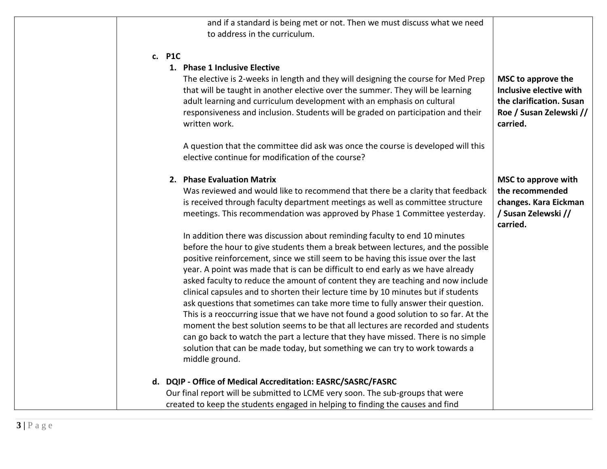| to address in the curriculum.                                                                                                                                                                                                                                                                                                                                                                                                                                                                                                                                                                                                                                                                                                                                                                                                                                                                                                                                       | and if a standard is being met or not. Then we must discuss what we need                                         |
|---------------------------------------------------------------------------------------------------------------------------------------------------------------------------------------------------------------------------------------------------------------------------------------------------------------------------------------------------------------------------------------------------------------------------------------------------------------------------------------------------------------------------------------------------------------------------------------------------------------------------------------------------------------------------------------------------------------------------------------------------------------------------------------------------------------------------------------------------------------------------------------------------------------------------------------------------------------------|------------------------------------------------------------------------------------------------------------------|
| c. P1C<br>1. Phase 1 Inclusive Elective<br>The elective is 2-weeks in length and they will designing the course for Med Prep<br>that will be taught in another elective over the summer. They will be learning<br>adult learning and curriculum development with an emphasis on cultural<br>responsiveness and inclusion. Students will be graded on participation and their<br>written work.<br>A question that the committee did ask was once the course is developed will this<br>elective continue for modification of the course?                                                                                                                                                                                                                                                                                                                                                                                                                              | MSC to approve the<br>Inclusive elective with<br>the clarification. Susan<br>Roe / Susan Zelewski //<br>carried. |
| 2. Phase Evaluation Matrix<br>Was reviewed and would like to recommend that there be a clarity that feedback<br>is received through faculty department meetings as well as committee structure<br>meetings. This recommendation was approved by Phase 1 Committee yesterday.                                                                                                                                                                                                                                                                                                                                                                                                                                                                                                                                                                                                                                                                                        | <b>MSC to approve with</b><br>the recommended<br>changes. Kara Eickman<br>/ Susan Zelewski //<br>carried.        |
| In addition there was discussion about reminding faculty to end 10 minutes<br>before the hour to give students them a break between lectures, and the possible<br>positive reinforcement, since we still seem to be having this issue over the last<br>year. A point was made that is can be difficult to end early as we have already<br>asked faculty to reduce the amount of content they are teaching and now include<br>clinical capsules and to shorten their lecture time by 10 minutes but if students<br>ask questions that sometimes can take more time to fully answer their question.<br>This is a reoccurring issue that we have not found a good solution to so far. At the<br>moment the best solution seems to be that all lectures are recorded and students<br>can go back to watch the part a lecture that they have missed. There is no simple<br>solution that can be made today, but something we can try to work towards a<br>middle ground. |                                                                                                                  |
| d. DQIP - Office of Medical Accreditation: EASRC/SASRC/FASRC<br>Our final report will be submitted to LCME very soon. The sub-groups that were                                                                                                                                                                                                                                                                                                                                                                                                                                                                                                                                                                                                                                                                                                                                                                                                                      |                                                                                                                  |
| created to keep the students engaged in helping to finding the causes and find                                                                                                                                                                                                                                                                                                                                                                                                                                                                                                                                                                                                                                                                                                                                                                                                                                                                                      |                                                                                                                  |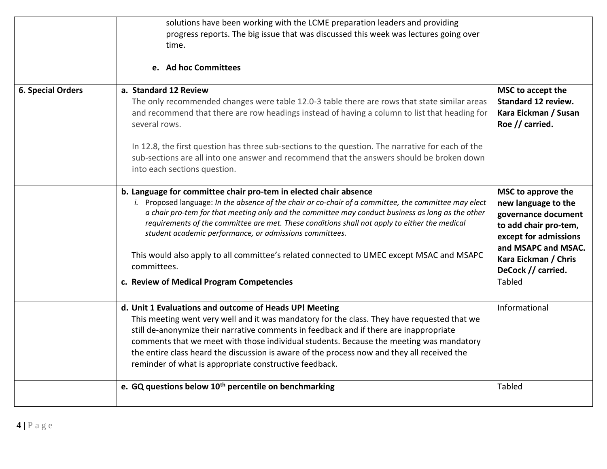|                          | solutions have been working with the LCME preparation leaders and providing<br>progress reports. The big issue that was discussed this week was lectures going over                                                                                                                                                                                                                                                                                                                                                                                   |                                                                                                                                                                                         |
|--------------------------|-------------------------------------------------------------------------------------------------------------------------------------------------------------------------------------------------------------------------------------------------------------------------------------------------------------------------------------------------------------------------------------------------------------------------------------------------------------------------------------------------------------------------------------------------------|-----------------------------------------------------------------------------------------------------------------------------------------------------------------------------------------|
|                          | time.                                                                                                                                                                                                                                                                                                                                                                                                                                                                                                                                                 |                                                                                                                                                                                         |
|                          | e. Ad hoc Committees                                                                                                                                                                                                                                                                                                                                                                                                                                                                                                                                  |                                                                                                                                                                                         |
| <b>6. Special Orders</b> | a. Standard 12 Review<br>The only recommended changes were table 12.0-3 table there are rows that state similar areas<br>and recommend that there are row headings instead of having a column to list that heading for<br>several rows.<br>In 12.8, the first question has three sub-sections to the question. The narrative for each of the<br>sub-sections are all into one answer and recommend that the answers should be broken down<br>into each sections question.                                                                             | MSC to accept the<br><b>Standard 12 review.</b><br>Kara Eickman / Susan<br>Roe // carried.                                                                                              |
|                          | b. Language for committee chair pro-tem in elected chair absence<br>i. Proposed language: In the absence of the chair or co-chair of a committee, the committee may elect<br>a chair pro-tem for that meeting only and the committee may conduct business as long as the other<br>requirements of the committee are met. These conditions shall not apply to either the medical<br>student academic performance, or admissions committees.<br>This would also apply to all committee's related connected to UMEC except MSAC and MSAPC<br>committees. | MSC to approve the<br>new language to the<br>governance document<br>to add chair pro-tem,<br>except for admissions<br>and MSAPC and MSAC.<br>Kara Eickman / Chris<br>DeCock // carried. |
|                          | c. Review of Medical Program Competencies                                                                                                                                                                                                                                                                                                                                                                                                                                                                                                             | Tabled                                                                                                                                                                                  |
|                          | d. Unit 1 Evaluations and outcome of Heads UP! Meeting<br>This meeting went very well and it was mandatory for the class. They have requested that we<br>still de-anonymize their narrative comments in feedback and if there are inappropriate<br>comments that we meet with those individual students. Because the meeting was mandatory<br>the entire class heard the discussion is aware of the process now and they all received the<br>reminder of what is appropriate constructive feedback.                                                   | Informational                                                                                                                                                                           |
|                          | e. GQ questions below 10 <sup>th</sup> percentile on benchmarking                                                                                                                                                                                                                                                                                                                                                                                                                                                                                     | Tabled                                                                                                                                                                                  |